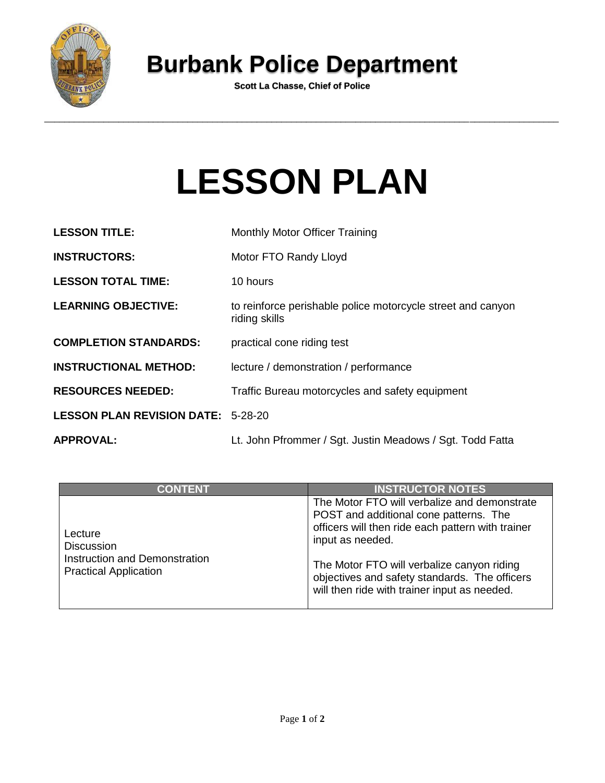

## **Burbank Police Department**

**Scott La Chasse, Chief of Police**

## **LESSON PLAN**

| <b>LESSON TITLE:</b>                      | Monthly Motor Officer Training                                               |
|-------------------------------------------|------------------------------------------------------------------------------|
| <b>INSTRUCTORS:</b>                       | Motor FTO Randy Lloyd                                                        |
| <b>LESSON TOTAL TIME:</b>                 | 10 hours                                                                     |
| <b>LEARNING OBJECTIVE:</b>                | to reinforce perishable police motorcycle street and canyon<br>riding skills |
| <b>COMPLETION STANDARDS:</b>              | practical cone riding test                                                   |
| <b>INSTRUCTIONAL METHOD:</b>              | lecture / demonstration / performance                                        |
| <b>RESOURCES NEEDED:</b>                  | Traffic Bureau motorcycles and safety equipment                              |
| <b>LESSON PLAN REVISION DATE: 5-28-20</b> |                                                                              |
| <b>APPROVAL:</b>                          | Lt. John Pfrommer / Sgt. Justin Meadows / Sgt. Todd Fatta                    |

| <b>CONTENT</b>                                                                                | <b>INSTRUCTOR NOTES</b>                                                                                                                                                                                                                                                                                        |
|-----------------------------------------------------------------------------------------------|----------------------------------------------------------------------------------------------------------------------------------------------------------------------------------------------------------------------------------------------------------------------------------------------------------------|
| Lecture<br><b>Discussion</b><br>Instruction and Demonstration<br><b>Practical Application</b> | The Motor FTO will verbalize and demonstrate<br>POST and additional cone patterns. The<br>officers will then ride each pattern with trainer<br>input as needed.<br>The Motor FTO will verbalize canyon riding<br>objectives and safety standards. The officers<br>will then ride with trainer input as needed. |